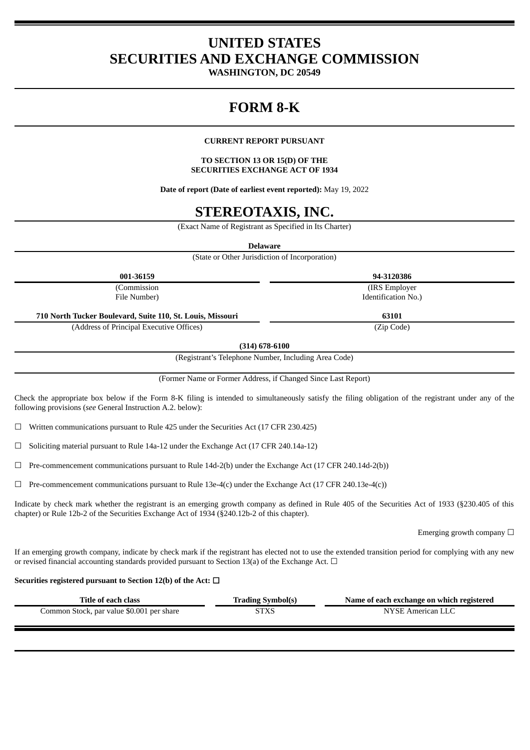## **UNITED STATES SECURITIES AND EXCHANGE COMMISSION**

**WASHINGTON, DC 20549**

# **FORM 8-K**

### **CURRENT REPORT PURSUANT**

### **TO SECTION 13 OR 15(D) OF THE SECURITIES EXCHANGE ACT OF 1934**

**Date of report (Date of earliest event reported):** May 19, 2022

## **STEREOTAXIS, INC.**

(Exact Name of Registrant as Specified in Its Charter)

**Delaware**

(State or Other Jurisdiction of Incorporation)

| 001-36159                                                  | 94-3120386          |
|------------------------------------------------------------|---------------------|
| (Commission                                                | (IRS Employer)      |
| File Number)                                               | Identification No.) |
| 710 North Tucker Boulevard, Suite 110, St. Louis, Missouri | 63101               |
| (Address of Principal Executive Offices)                   | (Zip Code)          |

**(314) 678-6100**

(Registrant's Telephone Number, Including Area Code)

(Former Name or Former Address, if Changed Since Last Report)

Check the appropriate box below if the Form 8-K filing is intended to simultaneously satisfy the filing obligation of the registrant under any of the following provisions (*see* General Instruction A.2. below):

☐ Written communications pursuant to Rule 425 under the Securities Act (17 CFR 230.425)

☐ Soliciting material pursuant to Rule 14a-12 under the Exchange Act (17 CFR 240.14a-12)

 $\Box$  Pre-commencement communications pursuant to Rule 14d-2(b) under the Exchange Act (17 CFR 240.14d-2(b))

 $\Box$  Pre-commencement communications pursuant to Rule 13e-4(c) under the Exchange Act (17 CFR 240.13e-4(c))

Indicate by check mark whether the registrant is an emerging growth company as defined in Rule 405 of the Securities Act of 1933 (§230.405 of this chapter) or Rule 12b-2 of the Securities Exchange Act of 1934 (§240.12b-2 of this chapter).

Emerging growth company  $\Box$ 

If an emerging growth company, indicate by check mark if the registrant has elected not to use the extended transition period for complying with any new or revised financial accounting standards provided pursuant to Section 13(a) of the Exchange Act.  $\Box$ 

### **Securities registered pursuant to Section 12(b) of the Act:** ☐

| Title of each class                       | <b>Trading Symbol(s)</b> | Name of each exchange on which registered |
|-------------------------------------------|--------------------------|-------------------------------------------|
| Common Stock, par value \$0.001 per share | STXS                     | NYSE American LLC                         |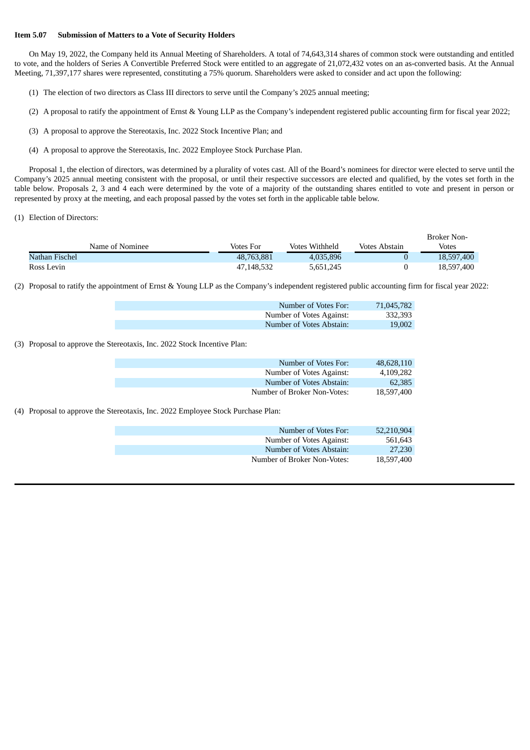#### **Item 5.07 Submission of Matters to a Vote of Security Holders**

On May 19, 2022, the Company held its Annual Meeting of Shareholders. A total of 74,643,314 shares of common stock were outstanding and entitled to vote, and the holders of Series A Convertible Preferred Stock were entitled to an aggregate of 21,072,432 votes on an as-converted basis. At the Annual Meeting, 71,397,177 shares were represented, constituting a 75% quorum. Shareholders were asked to consider and act upon the following:

- (1) The election of two directors as Class III directors to serve until the Company's 2025 annual meeting;
- (2) A proposal to ratify the appointment of Ernst & Young LLP as the Company's independent registered public accounting firm for fiscal year 2022;
- (3) A proposal to approve the Stereotaxis, Inc. 2022 Stock Incentive Plan; and
- (4) A proposal to approve the Stereotaxis, Inc. 2022 Employee Stock Purchase Plan.

Proposal 1, the election of directors, was determined by a plurality of votes cast. All of the Board's nominees for director were elected to serve until the Company's 2025 annual meeting consistent with the proposal, or until their respective successors are elected and qualified, by the votes set forth in the table below. Proposals 2, 3 and 4 each were determined by the vote of a majority of the outstanding shares entitled to vote and present in person or represented by proxy at the meeting, and each proposal passed by the votes set forth in the applicable table below.

(1) Election of Directors:

|                 |            |                |               | <b>Broker Non-</b> |
|-----------------|------------|----------------|---------------|--------------------|
| Name of Nominee | Votes For  | Votes Withheld | Votes Abstain | <b>Votes</b>       |
| Nathan Fischel  | 48,763,881 | 4.035.896      |               | 18,597,400         |
| Ross Levin      | 47.148.532 | 5,651,245      |               | 18,597,400         |

(2) Proposal to ratify the appointment of Ernst & Young LLP as the Company's independent registered public accounting firm for fiscal year 2022:

| Number of Votes For:     | 71,045,782 |
|--------------------------|------------|
| Number of Votes Against: | 332.393    |
| Number of Votes Abstain: | 19,002     |

(3) Proposal to approve the Stereotaxis, Inc. 2022 Stock Incentive Plan:

| Number of Votes For:        | 48.628.110 |
|-----------------------------|------------|
| Number of Votes Against:    | 4,109,282  |
| Number of Votes Abstain:    | 62.385     |
| Number of Broker Non-Votes: | 18.597.400 |

(4) Proposal to approve the Stereotaxis, Inc. 2022 Employee Stock Purchase Plan:

| Number of Votes For:        | 52,210,904 |
|-----------------------------|------------|
| Number of Votes Against:    | 561.643    |
|                             |            |
| Number of Votes Abstain:    | 27,230     |
| Number of Broker Non-Votes: | 18,597,400 |